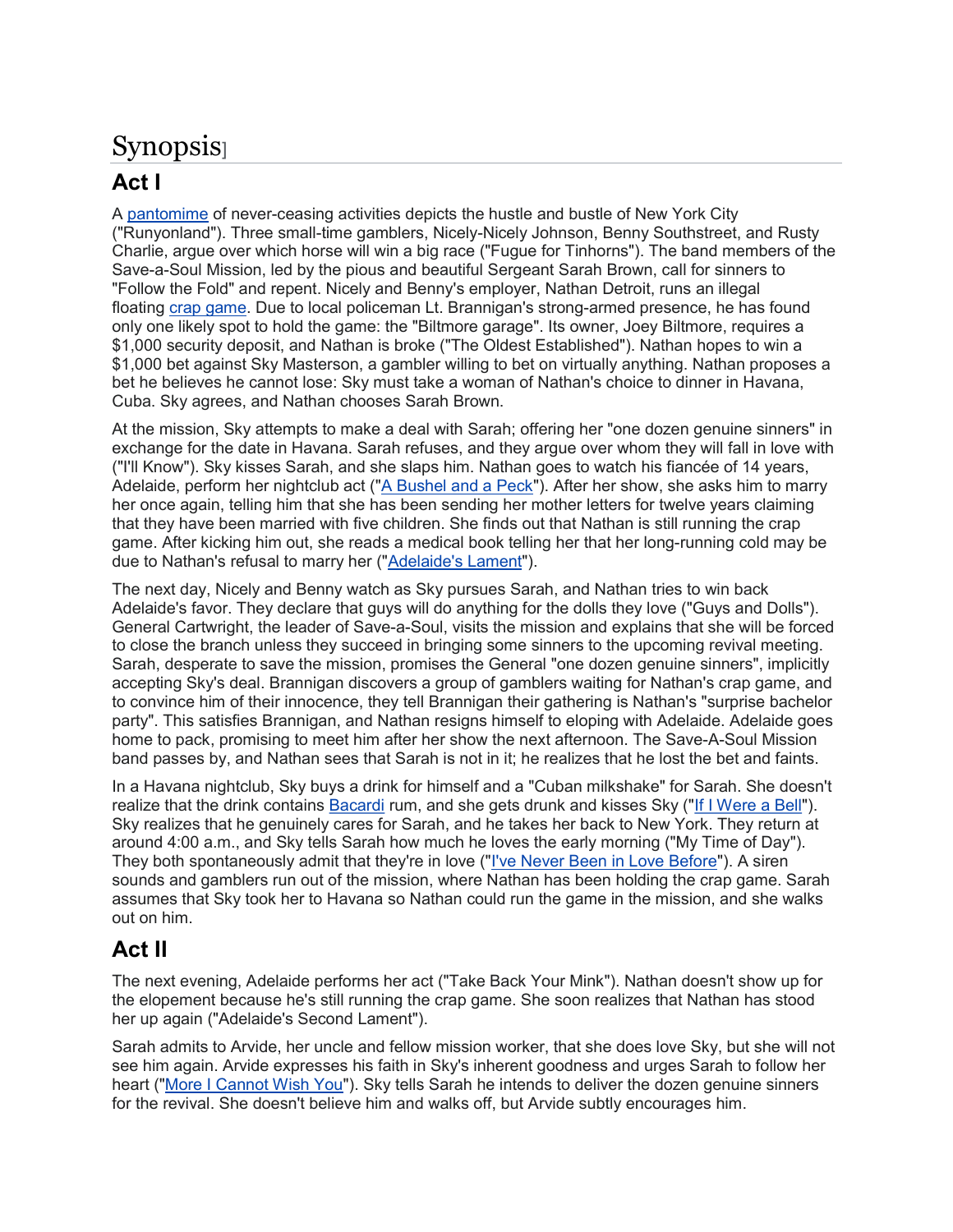## Synopsis]

## Act I

A pantomime of never-ceasing activities depicts the hustle and bustle of New York City ("Runyonland"). Three small-time gamblers, Nicely-Nicely Johnson, Benny Southstreet, and Rusty Charlie, argue over which horse will win a big race ("Fugue for Tinhorns"). The band members of the Save-a-Soul Mission, led by the pious and beautiful Sergeant Sarah Brown, call for sinners to "Follow the Fold" and repent. Nicely and Benny's employer, Nathan Detroit, runs an illegal floating crap game. Due to local policeman Lt. Brannigan's strong-armed presence, he has found only one likely spot to hold the game: the "Biltmore garage". Its owner, Joey Biltmore, requires a \$1,000 security deposit, and Nathan is broke ("The Oldest Established"). Nathan hopes to win a \$1,000 bet against Sky Masterson, a gambler willing to bet on virtually anything. Nathan proposes a bet he believes he cannot lose: Sky must take a woman of Nathan's choice to dinner in Havana, Cuba. Sky agrees, and Nathan chooses Sarah Brown.

At the mission, Sky attempts to make a deal with Sarah; offering her "one dozen genuine sinners" in exchange for the date in Havana. Sarah refuses, and they argue over whom they will fall in love with ("I'll Know"). Sky kisses Sarah, and she slaps him. Nathan goes to watch his fiancée of 14 years, Adelaide, perform her nightclub act ("A Bushel and a Peck"). After her show, she asks him to marry her once again, telling him that she has been sending her mother letters for twelve years claiming that they have been married with five children. She finds out that Nathan is still running the crap game. After kicking him out, she reads a medical book telling her that her long-running cold may be due to Nathan's refusal to marry her ("Adelaide's Lament").

The next day, Nicely and Benny watch as Sky pursues Sarah, and Nathan tries to win back Adelaide's favor. They declare that guys will do anything for the dolls they love ("Guys and Dolls"). General Cartwright, the leader of Save-a-Soul, visits the mission and explains that she will be forced to close the branch unless they succeed in bringing some sinners to the upcoming revival meeting. Sarah, desperate to save the mission, promises the General "one dozen genuine sinners", implicitly accepting Sky's deal. Brannigan discovers a group of gamblers waiting for Nathan's crap game, and to convince him of their innocence, they tell Brannigan their gathering is Nathan's "surprise bachelor party". This satisfies Brannigan, and Nathan resigns himself to eloping with Adelaide. Adelaide goes home to pack, promising to meet him after her show the next afternoon. The Save-A-Soul Mission band passes by, and Nathan sees that Sarah is not in it; he realizes that he lost the bet and faints.

In a Havana nightclub, Sky buys a drink for himself and a "Cuban milkshake" for Sarah. She doesn't realize that the drink contains Bacardi rum, and she gets drunk and kisses Sky ("If I Were a Bell"). Sky realizes that he genuinely cares for Sarah, and he takes her back to New York. They return at around 4:00 a.m., and Sky tells Sarah how much he loves the early morning ("My Time of Day"). They both spontaneously admit that they're in love ("I've Never Been in Love Before"). A siren sounds and gamblers run out of the mission, where Nathan has been holding the crap game. Sarah assumes that Sky took her to Havana so Nathan could run the game in the mission, and she walks out on him.

## Act II

The next evening, Adelaide performs her act ("Take Back Your Mink"). Nathan doesn't show up for the elopement because he's still running the crap game. She soon realizes that Nathan has stood her up again ("Adelaide's Second Lament").

Sarah admits to Arvide, her uncle and fellow mission worker, that she does love Sky, but she will not see him again. Arvide expresses his faith in Sky's inherent goodness and urges Sarah to follow her heart ("More I Cannot Wish You"). Sky tells Sarah he intends to deliver the dozen genuine sinners for the revival. She doesn't believe him and walks off, but Arvide subtly encourages him.